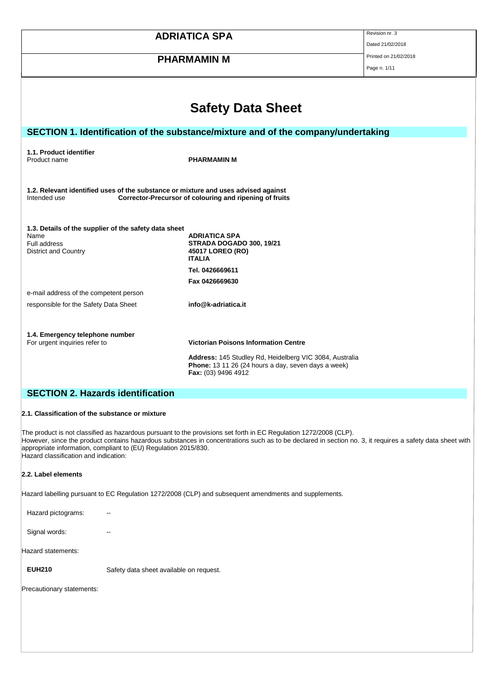|                                                                                                                                                                                                                                                                                                                                                                                           | <b>ADRIATICA SPA</b>                                                                                                                                                                 | Revision nr. 3<br>Dated 21/02/2018 |
|-------------------------------------------------------------------------------------------------------------------------------------------------------------------------------------------------------------------------------------------------------------------------------------------------------------------------------------------------------------------------------------------|--------------------------------------------------------------------------------------------------------------------------------------------------------------------------------------|------------------------------------|
| <b>PHARMAMIN M</b>                                                                                                                                                                                                                                                                                                                                                                        |                                                                                                                                                                                      | Printed on 21/02/2018              |
|                                                                                                                                                                                                                                                                                                                                                                                           |                                                                                                                                                                                      | Page n. 1/11                       |
|                                                                                                                                                                                                                                                                                                                                                                                           |                                                                                                                                                                                      |                                    |
|                                                                                                                                                                                                                                                                                                                                                                                           | <b>Safety Data Sheet</b>                                                                                                                                                             |                                    |
|                                                                                                                                                                                                                                                                                                                                                                                           |                                                                                                                                                                                      |                                    |
|                                                                                                                                                                                                                                                                                                                                                                                           | SECTION 1. Identification of the substance/mixture and of the company/undertaking                                                                                                    |                                    |
| 1.1. Product identifier<br>Product name                                                                                                                                                                                                                                                                                                                                                   | <b>PHARMAMIN M</b>                                                                                                                                                                   |                                    |
| 1.2. Relevant identified uses of the substance or mixture and uses advised against<br>Intended use                                                                                                                                                                                                                                                                                        | Corrector-Precursor of colouring and ripening of fruits                                                                                                                              |                                    |
| 1.3. Details of the supplier of the safety data sheet<br>Name                                                                                                                                                                                                                                                                                                                             | <b>ADRIATICA SPA</b>                                                                                                                                                                 |                                    |
| <b>Full address</b><br><b>District and Country</b>                                                                                                                                                                                                                                                                                                                                        | STRADA DOGADO 300, 19/21<br>45017 LOREO (RO)<br><b>ITALIA</b>                                                                                                                        |                                    |
|                                                                                                                                                                                                                                                                                                                                                                                           | Tel. 0426669611<br>Fax 0426669630                                                                                                                                                    |                                    |
| e-mail address of the competent person                                                                                                                                                                                                                                                                                                                                                    | info@k-adriatica.it                                                                                                                                                                  |                                    |
| responsible for the Safety Data Sheet                                                                                                                                                                                                                                                                                                                                                     |                                                                                                                                                                                      |                                    |
| 1.4. Emergency telephone number<br>For urgent inquiries refer to                                                                                                                                                                                                                                                                                                                          | <b>Victorian Poisons Information Centre</b><br>Address: 145 Studley Rd, Heidelberg VIC 3084, Australia<br>Phone: 13 11 26 (24 hours a day, seven days a week)<br>Fax: (03) 9496 4912 |                                    |
| <b>SECTION 2. Hazards identification</b>                                                                                                                                                                                                                                                                                                                                                  |                                                                                                                                                                                      |                                    |
| 2.1. Classification of the substance or mixture                                                                                                                                                                                                                                                                                                                                           |                                                                                                                                                                                      |                                    |
| The product is not classified as hazardous pursuant to the provisions set forth in EC Regulation 1272/2008 (CLP).<br>However, since the product contains hazardous substances in concentrations such as to be declared in section no. 3, it requires a safety data sheet with<br>appropriate information, compliant to (EU) Regulation 2015/830.<br>Hazard classification and indication: |                                                                                                                                                                                      |                                    |
| 2.2. Label elements                                                                                                                                                                                                                                                                                                                                                                       |                                                                                                                                                                                      |                                    |
|                                                                                                                                                                                                                                                                                                                                                                                           | Hazard labelling pursuant to EC Regulation 1272/2008 (CLP) and subsequent amendments and supplements.                                                                                |                                    |
| Hazard pictograms:                                                                                                                                                                                                                                                                                                                                                                        |                                                                                                                                                                                      |                                    |
| Signal words:                                                                                                                                                                                                                                                                                                                                                                             |                                                                                                                                                                                      |                                    |
| Hazard statements:                                                                                                                                                                                                                                                                                                                                                                        |                                                                                                                                                                                      |                                    |
| <b>EUH210</b><br>Safety data sheet available on request.                                                                                                                                                                                                                                                                                                                                  |                                                                                                                                                                                      |                                    |
| Precautionary statements:                                                                                                                                                                                                                                                                                                                                                                 |                                                                                                                                                                                      |                                    |
|                                                                                                                                                                                                                                                                                                                                                                                           |                                                                                                                                                                                      |                                    |
|                                                                                                                                                                                                                                                                                                                                                                                           |                                                                                                                                                                                      |                                    |
|                                                                                                                                                                                                                                                                                                                                                                                           |                                                                                                                                                                                      |                                    |
|                                                                                                                                                                                                                                                                                                                                                                                           |                                                                                                                                                                                      |                                    |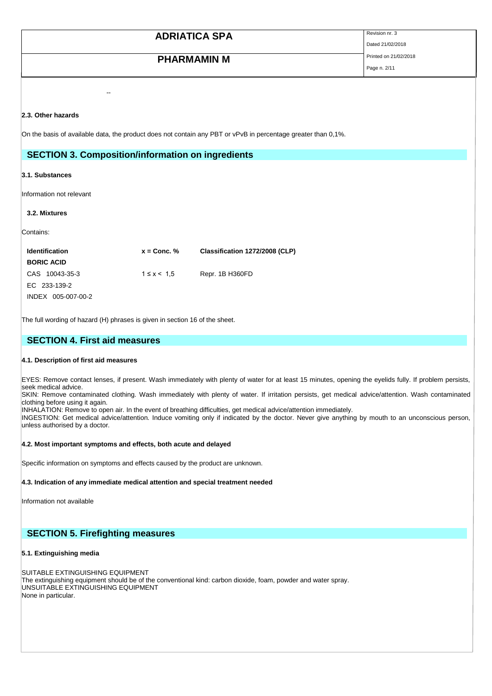| <b>ADRIATICA SPA</b> | Revision nr. 3        |
|----------------------|-----------------------|
|                      | Dated 21/02/2018      |
| <b>PHARMAMIN M</b>   | Printed on 21/02/2018 |
|                      | Page n. 2/11          |

#### **2.3. Other hazards**

On the basis of available data, the product does not contain any PBT or vPvB in percentage greater than 0,1%.

### **SECTION 3. Composition/information on ingredients**

--

#### **3.1. Substances**

Information not relevant

#### **3.2. Mixtures**

Contains:

| <b>Identification</b> | $x =$ Conc. $%$ | Classification 1272/2008 (CLP) |
|-----------------------|-----------------|--------------------------------|
| <b>BORIC ACID</b>     |                 |                                |
| CAS 10043-35-3        | $1 \le x < 1.5$ | Repr. 1B H360FD                |
| EC 233-139-2          |                 |                                |
| INDEX 005-007-00-2    |                 |                                |

The full wording of hazard (H) phrases is given in section 16 of the sheet.

### **SECTION 4. First aid measures**

#### **4.1. Description of first aid measures**

EYES: Remove contact lenses, if present. Wash immediately with plenty of water for at least 15 minutes, opening the eyelids fully. If problem persists, seek medical advice.

SKIN: Remove contaminated clothing. Wash immediately with plenty of water. If irritation persists, get medical advice/attention. Wash contaminated clothing before using it again.

INHALATION: Remove to open air. In the event of breathing difficulties, get medical advice/attention immediately. INGESTION: Get medical advice/attention. Induce vomiting only if indicated by the doctor. Never give anything by mouth to an unconscious person,

unless authorised by a doctor.

#### **4.2. Most important symptoms and effects, both acute and delayed**

Specific information on symptoms and effects caused by the product are unknown.

#### **4.3. Indication of any immediate medical attention and special treatment needed**

Information not available

### **SECTION 5. Firefighting measures**

#### **5.1. Extinguishing media**

SUITABLE EXTINGUISHING EQUIPMENT The extinguishing equipment should be of the conventional kind: carbon dioxide, foam, powder and water spray. UNSUITABLE EXTINGUISHING EQUIPMENT None in particular.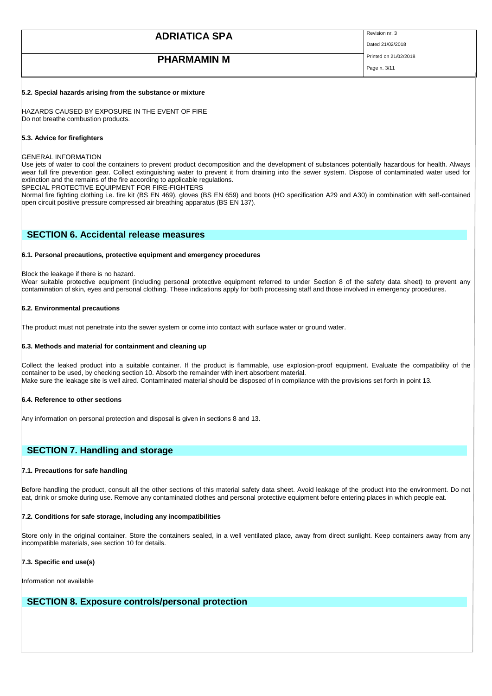| <b>ADRIATICA SPA</b> | Revision nr. 3<br>Dated 21/02/2018    |
|----------------------|---------------------------------------|
| <b>PHARMAMIN M</b>   | Printed on 21/02/2018<br>Page n. 3/11 |

#### **5.2. Special hazards arising from the substance or mixture**

HAZARDS CAUSED BY EXPOSURE IN THE EVENT OF FIRE Do not breathe combustion products.

#### **5.3. Advice for firefighters**

#### GENERAL INFORMATION

Use jets of water to cool the containers to prevent product decomposition and the development of substances potentially hazardous for health. Always wear full fire prevention gear. Collect extinguishing water to prevent it from draining into the sewer system. Dispose of contaminated water used for extinction and the remains of the fire according to applicable regulations.

SPECIAL PROTECTIVE EQUIPMENT FOR FIRE-FIGHTERS

Normal fire fighting clothing i.e. fire kit (BS EN 469), gloves (BS EN 659) and boots (HO specification A29 and A30) in combination with self-contained open circuit positive pressure compressed air breathing apparatus (BS EN 137).

### **SECTION 6. Accidental release measures**

#### **6.1. Personal precautions, protective equipment and emergency procedures**

#### Block the leakage if there is no hazard.

Wear suitable protective equipment (including personal protective equipment referred to under Section 8 of the safety data sheet) to prevent any contamination of skin, eyes and personal clothing. These indications apply for both processing staff and those involved in emergency procedures.

#### **6.2. Environmental precautions**

The product must not penetrate into the sewer system or come into contact with surface water or ground water.

#### **6.3. Methods and material for containment and cleaning up**

Collect the leaked product into a suitable container. If the product is flammable, use explosion-proof equipment. Evaluate the compatibility of the container to be used, by checking section 10. Absorb the remainder with inert absorbent material. Make sure the leakage site is well aired. Contaminated material should be disposed of in compliance with the provisions set forth in point 13.

#### **6.4. Reference to other sections**

Any information on personal protection and disposal is given in sections 8 and 13.

### **SECTION 7. Handling and storage**

#### **7.1. Precautions for safe handling**

Before handling the product, consult all the other sections of this material safety data sheet. Avoid leakage of the product into the environment. Do not eat, drink or smoke during use. Remove any contaminated clothes and personal protective equipment before entering places in which people eat.

#### **7.2. Conditions for safe storage, including any incompatibilities**

Store only in the original container. Store the containers sealed, in a well ventilated place, away from direct sunlight. Keep containers away from any incompatible materials, see section 10 for details.

#### **7.3. Specific end use(s)**

Information not available

### **SECTION 8. Exposure controls/personal protection**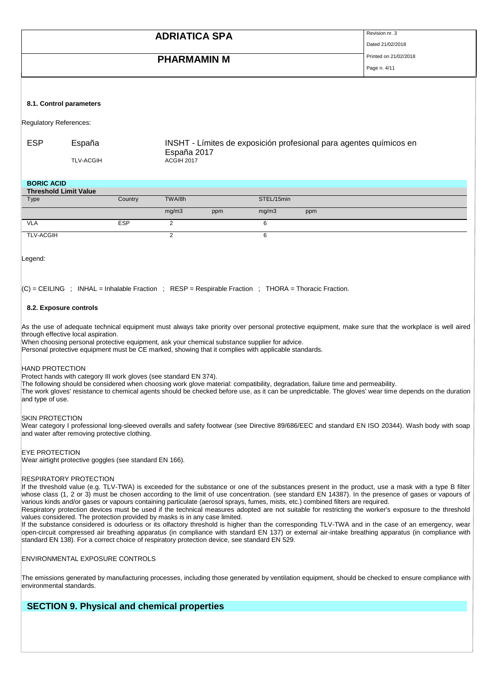| <b>ADRIATICA SPA</b> | Revision nr. 3<br>Dated 21/02/2018    |
|----------------------|---------------------------------------|
| <b>PHARMAMIN M</b>   | Printed on 21/02/2018<br>Page n. 4/11 |
|                      |                                       |

#### **8.1. Control parameters**

Regulatory References:

| ESP | España           | INSHT - Límites de exposición profesional para agentes químicos en |
|-----|------------------|--------------------------------------------------------------------|
|     |                  | España 2017                                                        |
|     | <b>TLV-ACGIH</b> | <b>ACGIH 2017</b>                                                  |

#### **BORIC ACID**

| <b>Threshold Limit Value</b> |            |        |     |            |     |  |
|------------------------------|------------|--------|-----|------------|-----|--|
| Type                         | Country    | TWA/8h |     | STEL/15min |     |  |
|                              |            | mg/m3  | ppm | mg/m3      | ppm |  |
| <b>VLA</b>                   | <b>ESP</b> |        |     |            |     |  |
| <b>TLV-ACGIH</b>             |            |        |     |            |     |  |

Legend:

 $|C|$  = CEILING ; INHAL = Inhalable Fraction ; RESP = Respirable Fraction ; THORA = Thoracic Fraction.

#### **8.2. Exposure controls**

As the use of adequate technical equipment must always take priority over personal protective equipment, make sure that the workplace is well aired through effective local aspiration.

When choosing personal protective equipment, ask your chemical substance supplier for advice.

Personal protective equipment must be CE marked, showing that it complies with applicable standards.

#### HAND PROTECTION

Protect hands with category III work gloves (see standard EN 374).

The following should be considered when choosing work glove material: compatibility, degradation, failure time and permeability.

The work gloves' resistance to chemical agents should be checked before use, as it can be unpredictable. The gloves' wear time depends on the duration and type of use.

#### SKIN PROTECTION

Wear category I professional long-sleeved overalls and safety footwear (see Directive 89/686/EEC and standard EN ISO 20344). Wash body with soap and water after removing protective clothing.

#### EYE PROTECTION

Wear airtight protective goggles (see standard EN 166).

#### RESPIRATORY PROTECTION

If the threshold value (e.g. TLV-TWA) is exceeded for the substance or one of the substances present in the product, use a mask with a type B filter whose class (1, 2 or 3) must be chosen according to the limit of use concentration. (see standard EN 14387). In the presence of gases or vapours of various kinds and/or gases or vapours containing particulate (aerosol sprays, fumes, mists, etc.) combined filters are required.

Respiratory protection devices must be used if the technical measures adopted are not suitable for restricting the worker's exposure to the threshold values considered. The protection provided by masks is in any case limited.

If the substance considered is odourless or its olfactory threshold is higher than the corresponding TLV-TWA and in the case of an emergency, wear open-circuit compressed air breathing apparatus (in compliance with standard EN 137) or external air-intake breathing apparatus (in compliance with standard EN 138). For a correct choice of respiratory protection device, see standard EN 529.

#### ENVIRONMENTAL EXPOSURE CONTROLS

The emissions generated by manufacturing processes, including those generated by ventilation equipment, should be checked to ensure compliance with environmental standards.

## **SECTION 9. Physical and chemical properties**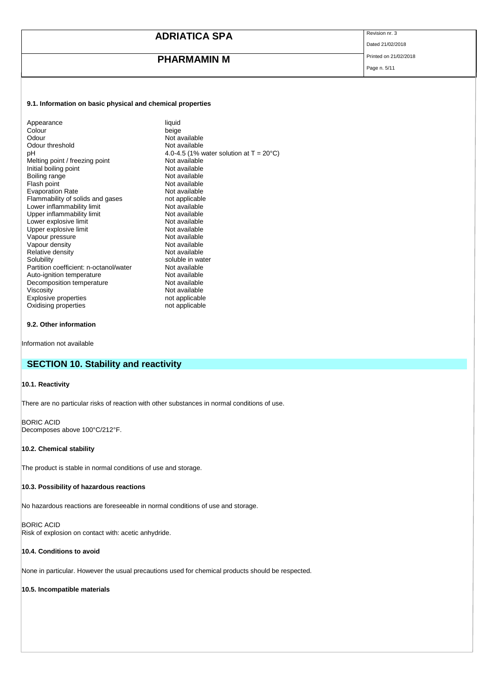# **PHARMAMIN M** Printed on 21/02/2018

Dated 21/02/2018

# Page n. 5/11

#### **9.1. Information on basic physical and chemical properties**

| Colour<br>beige<br>Not available<br>Odour<br>Odour threshold<br>Not available<br>рH<br>Not available<br>Melting point / freezing point<br>Initial boiling point<br>Not available<br>Boiling range<br>Not available<br>Flash point<br>Not available<br><b>Evaporation Rate</b><br>Not available<br>Flammability of solids and gases<br>not applicable<br>Lower inflammability limit<br>Not available<br>Upper inflammability limit<br>Not available<br>Lower explosive limit<br>Not available<br>Upper explosive limit<br>Not available<br>Vapour pressure<br>Not available<br>Vapour density<br>Not available<br>Relative density<br>Not available<br>soluble in water<br>Solubility<br>Partition coefficient: n-octanol/water<br>Not available<br>Auto-ignition temperature<br>Not available<br>Not available<br>Decomposition temperature<br>Viscosity<br>Not available<br>Explosive properties<br>not applicable<br>Oxidising properties<br>not applicable | 4.0-4.5 (1% water solution at $T = 20^{\circ}C$ ) |
|---------------------------------------------------------------------------------------------------------------------------------------------------------------------------------------------------------------------------------------------------------------------------------------------------------------------------------------------------------------------------------------------------------------------------------------------------------------------------------------------------------------------------------------------------------------------------------------------------------------------------------------------------------------------------------------------------------------------------------------------------------------------------------------------------------------------------------------------------------------------------------------------------------------------------------------------------------------|---------------------------------------------------|
|---------------------------------------------------------------------------------------------------------------------------------------------------------------------------------------------------------------------------------------------------------------------------------------------------------------------------------------------------------------------------------------------------------------------------------------------------------------------------------------------------------------------------------------------------------------------------------------------------------------------------------------------------------------------------------------------------------------------------------------------------------------------------------------------------------------------------------------------------------------------------------------------------------------------------------------------------------------|---------------------------------------------------|

#### **9.2. Other information**

Information not available

# **SECTION 10. Stability and reactivity**

#### **10.1. Reactivity**

There are no particular risks of reaction with other substances in normal conditions of use.

BORIC ACID Decomposes above 100°C/212°F.

#### **10.2. Chemical stability**

The product is stable in normal conditions of use and storage.

#### **10.3. Possibility of hazardous reactions**

No hazardous reactions are foreseeable in normal conditions of use and storage.

BORIC ACID Risk of explosion on contact with: acetic anhydride.

#### **10.4. Conditions to avoid**

None in particular. However the usual precautions used for chemical products should be respected.

#### **10.5. Incompatible materials**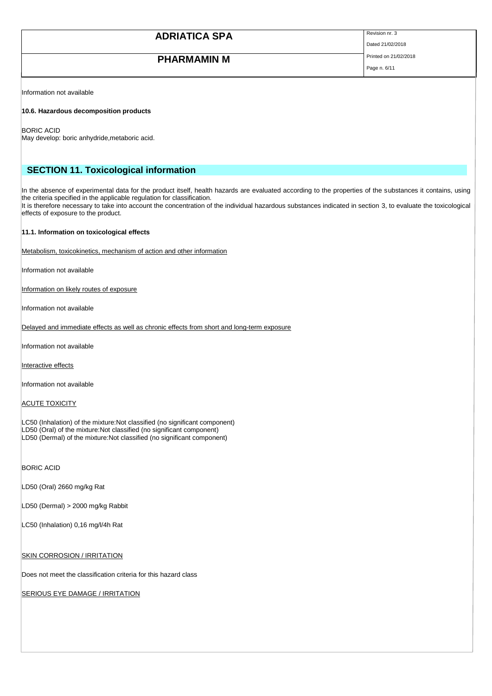Dated 21/02/2018

# **PHARMAMIN M** Printed on 21/02/2018

Page n. 6/11

Information not available

#### **10.6. Hazardous decomposition products**

BORIC ACID

May develop: boric anhydride,metaboric acid.

### **SECTION 11. Toxicological information**

In the absence of experimental data for the product itself, health hazards are evaluated according to the properties of the substances it contains, using the criteria specified in the applicable regulation for classification. It is therefore necessary to take into account the concentration of the individual hazardous substances indicated in section 3, to evaluate the toxicological effects of exposure to the product.

#### **11.1. Information on toxicological effects**

Metabolism, toxicokinetics, mechanism of action and other information

Information not available

Information on likely routes of exposure

Information not available

Delayed and immediate effects as well as chronic effects from short and long-term exposure

Information not available

Interactive effects

Information not available

ACUTE TOXICITY

LC50 (Inhalation) of the mixture:Not classified (no significant component) LD50 (Oral) of the mixture:Not classified (no significant component) LD50 (Dermal) of the mixture:Not classified (no significant component)

BORIC ACID

LD50 (Oral) 2660 mg/kg Rat

LD50 (Dermal) > 2000 mg/kg Rabbit

LC50 (Inhalation) 0,16 mg/l/4h Rat

**SKIN CORROSION / IRRITATION** 

Does not meet the classification criteria for this hazard class

SERIOUS EYE DAMAGE / IRRITATION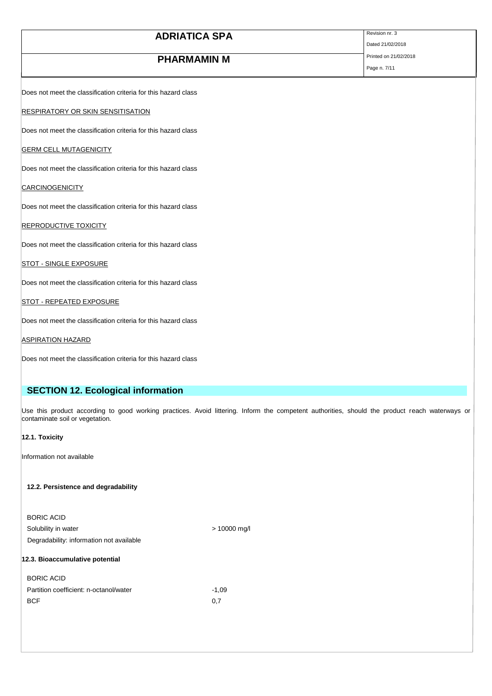| <b>ADRIATICA SPA</b>                                            | Revision nr. 3<br>Dated 21/02/2018 |
|-----------------------------------------------------------------|------------------------------------|
| <b>PHARMAMIN M</b>                                              | Printed on 21/02/2018              |
|                                                                 | Page n. 7/11                       |
| Does not meet the classification criteria for this hazard class |                                    |
| <b>RESPIRATORY OR SKIN SENSITISATION</b>                        |                                    |
| Does not meet the classification criteria for this hazard class |                                    |
| <b>GERM CELL MUTAGENICITY</b>                                   |                                    |
| Does not meet the classification criteria for this hazard class |                                    |
| <b>CARCINOGENICITY</b>                                          |                                    |
| Does not meet the classification criteria for this hazard class |                                    |
| <b>REPRODUCTIVE TOXICITY</b>                                    |                                    |
| Does not meet the classification criteria for this hazard class |                                    |
| <b>STOT - SINGLE EXPOSURE</b>                                   |                                    |
| Does not meet the classification criteria for this hazard class |                                    |
| <b>STOT - REPEATED EXPOSURE</b>                                 |                                    |
| Does not meet the classification criteria for this hazard class |                                    |
| <b>ASPIRATION HAZARD</b>                                        |                                    |

Does not meet the classification criteria for this hazard class

# **SECTION 12. Ecological information**

Use this product according to good working practices. Avoid littering. Inform the competent authorities, should the product reach waterways or contaminate soil or vegetation.

#### **12.1. Toxicity**

Information not available

#### **12.2. Persistence and degradability**

| Degradability: information not available |                |
|------------------------------------------|----------------|
| Solubility in water                      | $> 10000$ mg/l |
| <b>BORIC ACID</b>                        |                |
|                                          |                |

#### **12.3. Bioaccumulative potential**

| <b>BORIC ACID</b>                      |         |
|----------------------------------------|---------|
| Partition coefficient: n-octanol/water | $-1.09$ |
| <b>BCF</b>                             | 0.7     |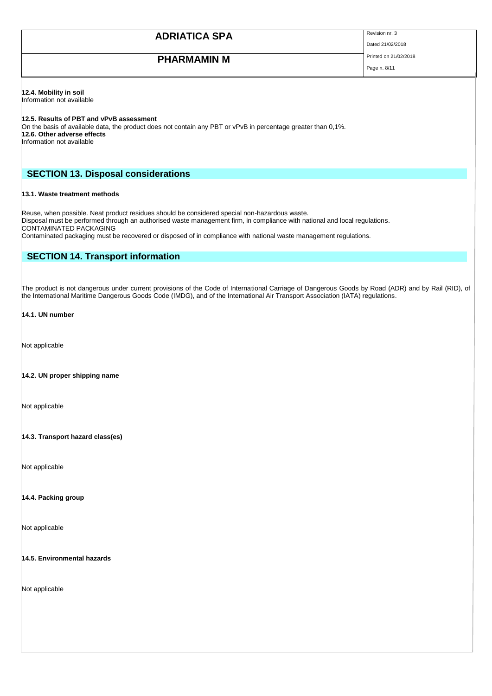Dated 21/02/2018

# **PHARMAMIN M** Printed on 21/02/2018

Page n. 8/11

#### **12.4. Mobility in soil**

Information not available

#### **12.5. Results of PBT and vPvB assessment**

On the basis of available data, the product does not contain any PBT or vPvB in percentage greater than 0,1%. **12.6. Other adverse effects**

Information not available

### **SECTION 13. Disposal considerations**

#### **13.1. Waste treatment methods**

Reuse, when possible. Neat product residues should be considered special non-hazardous waste. Disposal must be performed through an authorised waste management firm, in compliance with national and local regulations. CONTAMINATED PACKAGING

Contaminated packaging must be recovered or disposed of in compliance with national waste management regulations.

### **SECTION 14. Transport information**

The product is not dangerous under current provisions of the Code of International Carriage of Dangerous Goods by Road (ADR) and by Rail (RID), of the International Maritime Dangerous Goods Code (IMDG), and of the International Air Transport Association (IATA) regulations.

#### **14.1. UN number**

Not applicable

#### **14.2. UN proper shipping name**

Not applicable

#### **14.3. Transport hazard class(es)**

Not applicable

#### **14.4. Packing group**

Not applicable

#### **14.5. Environmental hazards**

Not applicable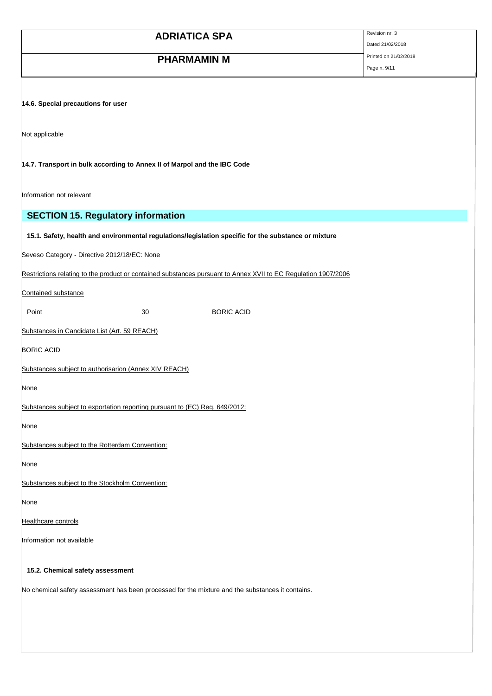| <b>ADRIATICA SPA</b>                                                                                           | Revision nr. 3                            |
|----------------------------------------------------------------------------------------------------------------|-------------------------------------------|
|                                                                                                                | Dated 21/02/2018<br>Printed on 21/02/2018 |
| <b>PHARMAMIN M</b>                                                                                             | Page n. 9/11                              |
|                                                                                                                |                                           |
|                                                                                                                |                                           |
| 14.6. Special precautions for user                                                                             |                                           |
|                                                                                                                |                                           |
| Not applicable                                                                                                 |                                           |
|                                                                                                                |                                           |
| 14.7. Transport in bulk according to Annex II of Marpol and the IBC Code                                       |                                           |
|                                                                                                                |                                           |
| Information not relevant                                                                                       |                                           |
| <b>SECTION 15. Regulatory information</b>                                                                      |                                           |
| 15.1. Safety, health and environmental regulations/legislation specific for the substance or mixture           |                                           |
| Seveso Category - Directive 2012/18/EC: None                                                                   |                                           |
|                                                                                                                |                                           |
| Restrictions relating to the product or contained substances pursuant to Annex XVII to EC Regulation 1907/2006 |                                           |
| Contained substance                                                                                            |                                           |
| Point<br>30<br><b>BORIC ACID</b>                                                                               |                                           |
| Substances in Candidate List (Art. 59 REACH)                                                                   |                                           |
| <b>BORIC ACID</b>                                                                                              |                                           |
|                                                                                                                |                                           |
| Substances subject to authorisarion (Annex XIV REACH)                                                          |                                           |
| None                                                                                                           |                                           |
| Substances subject to exportation reporting pursuant to (EC) Reg. 649/2012:                                    |                                           |
| None                                                                                                           |                                           |
| Substances subject to the Rotterdam Convention:                                                                |                                           |
|                                                                                                                |                                           |
| None                                                                                                           |                                           |
| Substances subject to the Stockholm Convention:                                                                |                                           |
| None                                                                                                           |                                           |
| Healthcare controls                                                                                            |                                           |
| Information not available                                                                                      |                                           |
|                                                                                                                |                                           |
| 15.2. Chemical safety assessment                                                                               |                                           |
| No chemical safety assessment has been processed for the mixture and the substances it contains.               |                                           |
|                                                                                                                |                                           |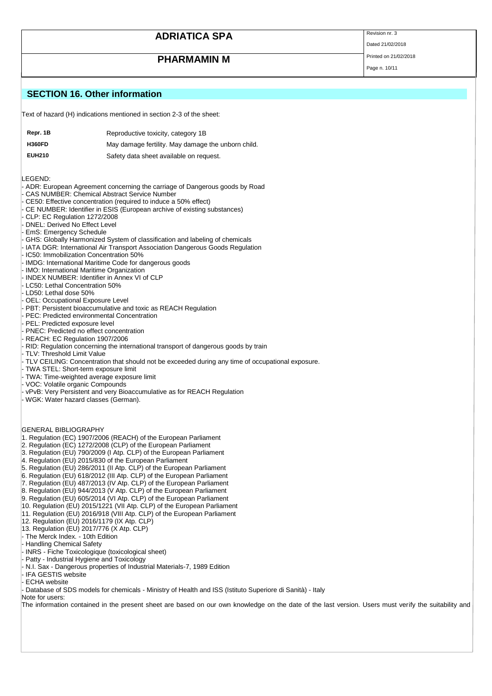# **PHARMAMIN M** Printed on 21/02/2018

Dated 21/02/2018

Page n. 10/11

### **SECTION 16. Other information**

Text of hazard (H) indications mentioned in section 2-3 of the sheet:

| Repr. 1B      | Reproductive toxicity, category 1B                 |
|---------------|----------------------------------------------------|
| <b>H360FD</b> | May damage fertility. May damage the unborn child. |
| <b>EUH210</b> | Safety data sheet available on request.            |

LEGEND:

- ADR: European Agreement concerning the carriage of Dangerous goods by Road
- CAS NUMBER: Chemical Abstract Service Number
- CE50: Effective concentration (required to induce a 50% effect)
- CE NUMBER: Identifier in ESIS (European archive of existing substances)
- CLP: EC Regulation 1272/2008
- DNEL: Derived No Effect Level
- EmS: Emergency Schedule
- GHS: Globally Harmonized System of classification and labeling of chemicals
- IATA DGR: International Air Transport Association Dangerous Goods Regulation
- IC50: Immobilization Concentration 50%
- IMDG: International Maritime Code for dangerous goods
- IMO: International Maritime Organization
- INDEX NUMBER: Identifier in Annex VI of CLP
- LC50: Lethal Concentration 50%
- LD50: Lethal dose 50%
- OEL: Occupational Exposure Level
- PBT: Persistent bioaccumulative and toxic as REACH Regulation
- PEC: Predicted environmental Concentration
- PEL: Predicted exposure level
- PNEC: Predicted no effect concentration
- REACH: EC Regulation 1907/2006
- RID: Regulation concerning the international transport of dangerous goods by train
- TLV: Threshold Limit Value
- TLV CEILING: Concentration that should not be exceeded during any time of occupational exposure.
- TWA STEL: Short-term exposure limit
- TWA: Time-weighted average exposure limit

- 
- 
- 
- 
- 
- 
- INRS Fiche Toxicologique (toxicological sheet)
- Patty Industrial Hygiene and Toxicology
- N.I. Sax Dangerous properties of Industrial Materials-7, 1989 Edition
- IFA GESTIS website
- ECHA website
- Database of SDS models for chemicals Ministry of Health and ISS (Istituto Superiore di Sanità) Italy
- Note for users:

The information contained in the present sheet are based on our own knowledge on the date of the last version. Users must verify the suitability and

- VOC: Volatile organic Compounds vPvB: Very Persistent and very Bioaccumulative as for REACH Regulation - WGK: Water hazard classes (German). GENERAL BIBLIOGRAPHY 1. Regulation (EC) 1907/2006 (REACH) of the European Parliament 2. Regulation (EC) 1272/2008 (CLP) of the European Parliament 3. Regulation (EU) 790/2009 (I Atp. CLP) of the European Parliament 4. Regulation (EU) 2015/830 of the European Parliament 5. Regulation (EU) 286/2011 (II Atp. CLP) of the European Parliament 6. Regulation (EU) 618/2012 (III Atp. CLP) of the European Parliament 7. Regulation (EU) 487/2013 (IV Atp. CLP) of the European Parliament 8. Regulation (EU) 944/2013 (V Atp. CLP) of the European Parliament 9. Regulation (EU) 605/2014 (VI Atp. CLP) of the European Parliament 10. Regulation (EU) 2015/1221 (VII Atp. CLP) of the European Parliament
	- 11. Regulation (EU) 2016/918 (VIII Atp. CLP) of the European Parliament
	- 12. Regulation (EU) 2016/1179 (IX Atp. CLP)
	- 13. Regulation (EU) 2017/776 (X Atp. CLP)
	- The Merck Index. 10th Edition
	- Handling Chemical Safety